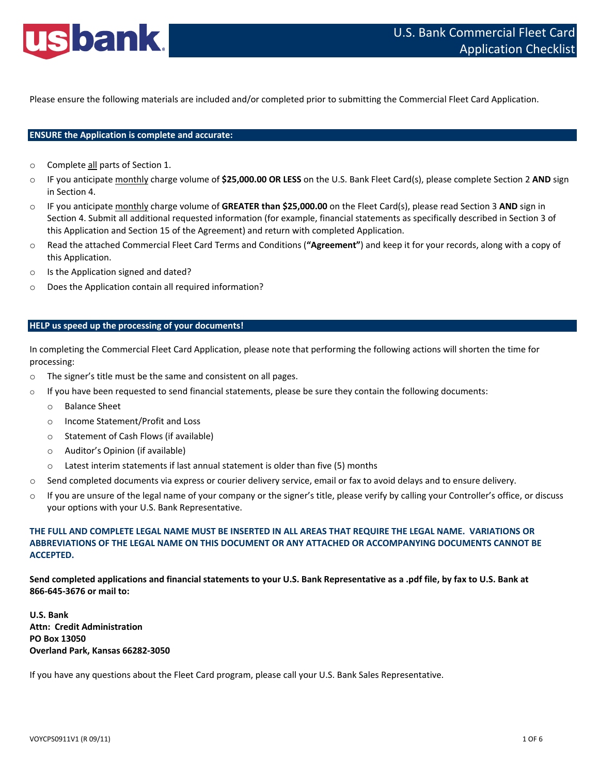

Please ensure the following materials are included and/or completed prior to submitting the Commercial Fleet Card Application.

# **ENSURE the Application is complete and accurate:**

- o Complete all parts of Section 1.
- o IF you anticipate monthly charge volume of **\$25,000.00 OR LESS** on the U.S. Bank Fleet Card(s), please complete Section 2 **AND** sign in Section 4.
- o IF you anticipate monthly charge volume of **GREATER than \$25,000.00** on the Fleet Card(s), please read Section 3 **AND** sign in Section 4. Submit all additional requested information (for example, financial statements as specifically described in Section 3 of this Application and Section 15 of the Agreement) and return with completed Application.
- o Read the attached Commercial Fleet Card Terms and Conditions (**"Agreement"**) and keep it for your records, along with a copy of this Application.
- o Is the Application signed and dated?
- o Does the Application contain all required information?

## **HELP us speed up the processing of your documents!**

In completing the Commercial Fleet Card Application, please note that performing the following actions will shorten the time for processing:

- o The signer's title must be the same and consistent on all pages.
- $\circ$  If you have been requested to send financial statements, please be sure they contain the following documents:
	- o Balance Sheet
	- o Income Statement/Profit and Loss
	- o Statement of Cash Flows (if available)
	- o Auditor's Opinion (if available)
	- o Latest interim statements if last annual statement is older than five (5) months
- $\circ$  Send completed documents via express or courier delivery service, email or fax to avoid delays and to ensure delivery.
- $\circ$  If you are unsure of the legal name of your company or the signer's title, please verify by calling your Controller's office, or discuss your options with your U.S. Bank Representative.

# THE FULL AND COMPLETE LEGAL NAME MUST BE INSERTED IN ALL AREAS THAT REQUIRE THE LEGAL NAME. VARIATIONS OR **ABBREVIATIONS OF THE LEGAL NAME ON THIS DOCUMENT OR ANY ATTACHED OR ACCOMPANYING DOCUMENTS CANNOT BE ACCEPTED.**

Send completed applications and financial statements to your U.S. Bank Representative as a .pdf file, by fax to U.S. Bank at **866‐645‐3676 or mail to:**

**U.S. Bank Attn: Credit Administration PO Box 13050 Overland Park, Kansas 66282‐3050**

If you have any questions about the Fleet Card program, please call your U.S. Bank Sales Representative.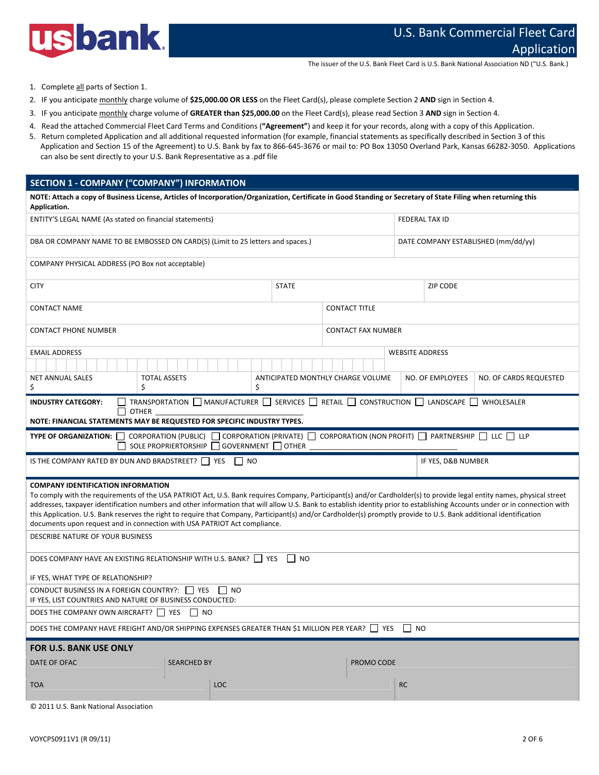

The issuer of the U.S. Bank Fleet Card is U.S. Bank National Association ND ("U.S. Bank.)

- 1. Complete all parts of Section 1.
- 2. IF you anticipate monthly charge volume of **\$25,000.00 OR LESS** on the Fleet Card(s), please complete Section 2 **AND** sign in Section 4.
- 3. IF you anticipate monthly charge volume of **GREATER than \$25,000.00** on the Fleet Card(s), please read Section 3 **AND** sign in Section 4.
- 4. Read the attached Commercial Fleet Card Terms and Conditions (**"Agreement"**) and keep it for your records, along with a copy of this Application.
- 5. Return completed Application and all additional requested information (for example, financial statements as specifically described in Section 3 of this Application and Section 15 of the Agreement) to U.S. Bank by fax to 866-645-3676 or mail to: PO Box 13050 Overland Park, Kansas 66282-3050. Applications can also be sent directly to your U.S. Bank Representative as a .pdf file

## **SECTION 1 ‐ COMPANY ("COMPANY") INFORMATION**

| NOTE: Attach a copy of Business License, Articles of Incorporation/Organization, Certificate in Good Standing or Secretary of State Filing when returning this<br>Application.                                                                                                                                                                                                                                                                                                                                                                                            |                           |                                   |                                     |                    |                        |  |  |
|---------------------------------------------------------------------------------------------------------------------------------------------------------------------------------------------------------------------------------------------------------------------------------------------------------------------------------------------------------------------------------------------------------------------------------------------------------------------------------------------------------------------------------------------------------------------------|---------------------------|-----------------------------------|-------------------------------------|--------------------|------------------------|--|--|
| ENTITY'S LEGAL NAME (As stated on financial statements)                                                                                                                                                                                                                                                                                                                                                                                                                                                                                                                   |                           |                                   | FEDERAL TAX ID                      |                    |                        |  |  |
| DBA OR COMPANY NAME TO BE EMBOSSED ON CARD(S) (Limit to 25 letters and spaces.)                                                                                                                                                                                                                                                                                                                                                                                                                                                                                           |                           |                                   | DATE COMPANY ESTABLISHED (mm/dd/yy) |                    |                        |  |  |
| COMPANY PHYSICAL ADDRESS (PO Box not acceptable)                                                                                                                                                                                                                                                                                                                                                                                                                                                                                                                          |                           |                                   |                                     |                    |                        |  |  |
| <b>CITY</b>                                                                                                                                                                                                                                                                                                                                                                                                                                                                                                                                                               | <b>STATE</b>              |                                   | ZIP CODE                            |                    |                        |  |  |
| <b>CONTACT NAME</b>                                                                                                                                                                                                                                                                                                                                                                                                                                                                                                                                                       |                           | <b>CONTACT TITLE</b>              |                                     |                    |                        |  |  |
| <b>CONTACT PHONE NUMBER</b>                                                                                                                                                                                                                                                                                                                                                                                                                                                                                                                                               | <b>CONTACT FAX NUMBER</b> |                                   |                                     |                    |                        |  |  |
| <b>EMAIL ADDRESS</b>                                                                                                                                                                                                                                                                                                                                                                                                                                                                                                                                                      |                           |                                   | <b>WEBSITE ADDRESS</b>              |                    |                        |  |  |
|                                                                                                                                                                                                                                                                                                                                                                                                                                                                                                                                                                           |                           |                                   |                                     |                    |                        |  |  |
| <b>TOTAL ASSETS</b><br><b>NET ANNUAL SALES</b>                                                                                                                                                                                                                                                                                                                                                                                                                                                                                                                            |                           | ANTICIPATED MONTHLY CHARGE VOLUME |                                     | NO. OF EMPLOYEES   | NO. OF CARDS REQUESTED |  |  |
| \$<br>\$<br>\$                                                                                                                                                                                                                                                                                                                                                                                                                                                                                                                                                            |                           |                                   |                                     |                    |                        |  |  |
| TRANSPORTATION □ MANUFACTURER □ SERVICES □ RETAIL □ CONSTRUCTION □ LANDSCAPE □ WHOLESALER<br><b>INDUSTRY CATEGORY:</b>                                                                                                                                                                                                                                                                                                                                                                                                                                                    |                           |                                   |                                     |                    |                        |  |  |
| <b>OTHER</b><br>NOTE: FINANCIAL STATEMENTS MAY BE REQUESTED FOR SPECIFIC INDUSTRY TYPES.                                                                                                                                                                                                                                                                                                                                                                                                                                                                                  |                           |                                   |                                     |                    |                        |  |  |
|                                                                                                                                                                                                                                                                                                                                                                                                                                                                                                                                                                           |                           |                                   |                                     |                    |                        |  |  |
| TYPE OF ORGANIZATION: CORPORATION (PUBLIC) CORPORATION (PRIVATE) CORPORATION (NON PROFIT) C PARTNERSHIP CLC CLP<br>SOLE PROPRIERTORSHIP $\Box$ GOVERNMENT $\Box$ OTHER                                                                                                                                                                                                                                                                                                                                                                                                    |                           |                                   |                                     |                    |                        |  |  |
| IS THE COMPANY RATED BY DUN AND BRADSTREET? $\Box$ YES<br>NO                                                                                                                                                                                                                                                                                                                                                                                                                                                                                                              |                           |                                   |                                     | IF YES, D&B NUMBER |                        |  |  |
|                                                                                                                                                                                                                                                                                                                                                                                                                                                                                                                                                                           |                           |                                   |                                     |                    |                        |  |  |
| <b>COMPANY IDENTIFICATION INFORMATION</b><br>To comply with the requirements of the USA PATRIOT Act, U.S. Bank requires Company, Participant(s) and/or Cardholder(s) to provide legal entity names, physical street<br>addresses, taxpayer identification numbers and other information that will allow U.S. Bank to establish identity prior to establishing Accounts under or in connection with<br>this Application. U.S. Bank reserves the right to require that Company, Participant(s) and/or Cardholder(s) promptly provide to U.S. Bank additional identification |                           |                                   |                                     |                    |                        |  |  |
| documents upon request and in connection with USA PATRIOT Act compliance.<br>DESCRIBE NATURE OF YOUR BUSINESS                                                                                                                                                                                                                                                                                                                                                                                                                                                             |                           |                                   |                                     |                    |                        |  |  |
| DOES COMPANY HAVE AN EXISTING RELATIONSHIP WITH U.S. BANK? □ YES                                                                                                                                                                                                                                                                                                                                                                                                                                                                                                          | $\mathsf{I}$ NO           |                                   |                                     |                    |                        |  |  |
| IF YES, WHAT TYPE OF RELATIONSHIP?                                                                                                                                                                                                                                                                                                                                                                                                                                                                                                                                        |                           |                                   |                                     |                    |                        |  |  |
| CONDUCT BUSINESS IN A FOREIGN COUNTRY?:   YES<br>$\vert$ $\vert$ NO<br>IF YES, LIST COUNTRIES AND NATURE OF BUSINESS CONDUCTED:                                                                                                                                                                                                                                                                                                                                                                                                                                           |                           |                                   |                                     |                    |                        |  |  |
| DOES THE COMPANY OWN AIRCRAFT? $\Box$ YES $\Box$ NO                                                                                                                                                                                                                                                                                                                                                                                                                                                                                                                       |                           |                                   |                                     |                    |                        |  |  |
| DOES THE COMPANY HAVE FREIGHT AND/OR SHIPPING EXPENSES GREATER THAN \$1 MILLION PER YEAR? □ YES □ NO                                                                                                                                                                                                                                                                                                                                                                                                                                                                      |                           |                                   |                                     |                    |                        |  |  |
| <b>FOR U.S. BANK USE ONLY</b>                                                                                                                                                                                                                                                                                                                                                                                                                                                                                                                                             |                           |                                   |                                     |                    |                        |  |  |
| <b>SEARCHED BY</b><br>DATE OF OFAC                                                                                                                                                                                                                                                                                                                                                                                                                                                                                                                                        |                           | PROMO CODE                        |                                     |                    |                        |  |  |
| <b>TOA</b><br><b>LOC</b>                                                                                                                                                                                                                                                                                                                                                                                                                                                                                                                                                  |                           |                                   | <b>RC</b>                           |                    |                        |  |  |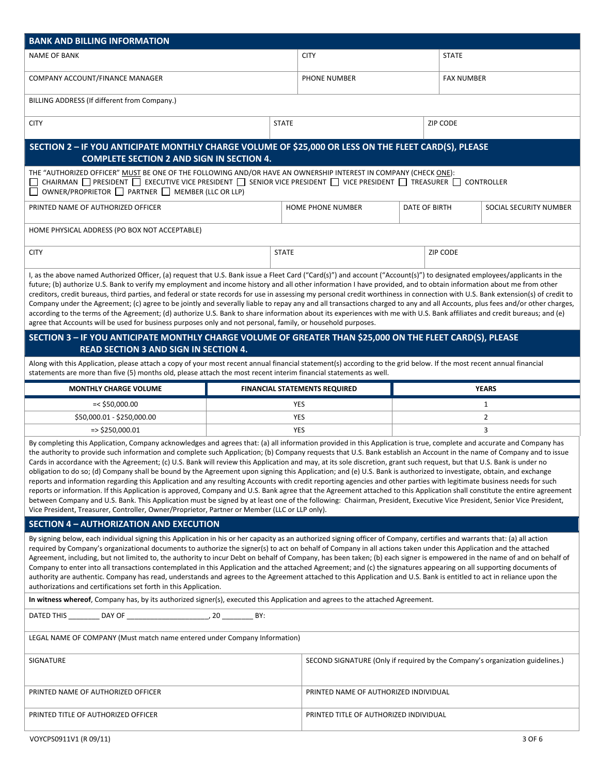| <b>BANK AND BILLING INFORMATION</b>                                                                                                                                                                                                                                                                                                                                                                                                                                                                                                                                                                                                                                                                                                                                                                                                                                                                                                                                                                                                                                                                                                                                                                                                                                                                                                 |  |                                                                               |               |                        |                   |  |  |
|-------------------------------------------------------------------------------------------------------------------------------------------------------------------------------------------------------------------------------------------------------------------------------------------------------------------------------------------------------------------------------------------------------------------------------------------------------------------------------------------------------------------------------------------------------------------------------------------------------------------------------------------------------------------------------------------------------------------------------------------------------------------------------------------------------------------------------------------------------------------------------------------------------------------------------------------------------------------------------------------------------------------------------------------------------------------------------------------------------------------------------------------------------------------------------------------------------------------------------------------------------------------------------------------------------------------------------------|--|-------------------------------------------------------------------------------|---------------|------------------------|-------------------|--|--|
| <b>NAME OF BANK</b>                                                                                                                                                                                                                                                                                                                                                                                                                                                                                                                                                                                                                                                                                                                                                                                                                                                                                                                                                                                                                                                                                                                                                                                                                                                                                                                 |  | <b>CITY</b>                                                                   |               |                        | <b>STATE</b>      |  |  |
| COMPANY ACCOUNT/FINANCE MANAGER                                                                                                                                                                                                                                                                                                                                                                                                                                                                                                                                                                                                                                                                                                                                                                                                                                                                                                                                                                                                                                                                                                                                                                                                                                                                                                     |  | PHONE NUMBER                                                                  |               |                        | <b>FAX NUMBER</b> |  |  |
| BILLING ADDRESS (If different from Company.)                                                                                                                                                                                                                                                                                                                                                                                                                                                                                                                                                                                                                                                                                                                                                                                                                                                                                                                                                                                                                                                                                                                                                                                                                                                                                        |  |                                                                               |               |                        |                   |  |  |
| <b>CITY</b>                                                                                                                                                                                                                                                                                                                                                                                                                                                                                                                                                                                                                                                                                                                                                                                                                                                                                                                                                                                                                                                                                                                                                                                                                                                                                                                         |  | <b>STATE</b>                                                                  |               | ZIP CODE               |                   |  |  |
| SECTION 2 - IF YOU ANTICIPATE MONTHLY CHARGE VOLUME OF \$25,000 OR LESS ON THE FLEET CARD(S), PLEASE<br><b>COMPLETE SECTION 2 AND SIGN IN SECTION 4.</b>                                                                                                                                                                                                                                                                                                                                                                                                                                                                                                                                                                                                                                                                                                                                                                                                                                                                                                                                                                                                                                                                                                                                                                            |  |                                                                               |               |                        |                   |  |  |
| THE "AUTHORIZED OFFICER" MUST BE ONE OF THE FOLLOWING AND/OR HAVE AN OWNERSHIP INTEREST IN COMPANY (CHECK ONE):<br>CHAIRMAN $\Box$ PRESIDENT $\Box$ EXECUTIVE VICE PRESIDENT $\Box$ SENIOR VICE PRESIDENT $\Box$ VICE PRESIDENT $\Box$ TREASURER $\Box$ CONTROLLER<br>OWNER/PROPRIETOR PARTNER MEMBER (LLC OR LLP)                                                                                                                                                                                                                                                                                                                                                                                                                                                                                                                                                                                                                                                                                                                                                                                                                                                                                                                                                                                                                  |  |                                                                               |               |                        |                   |  |  |
| PRINTED NAME OF AUTHORIZED OFFICER                                                                                                                                                                                                                                                                                                                                                                                                                                                                                                                                                                                                                                                                                                                                                                                                                                                                                                                                                                                                                                                                                                                                                                                                                                                                                                  |  | <b>HOME PHONE NUMBER</b>                                                      | DATE OF BIRTH | SOCIAL SECURITY NUMBER |                   |  |  |
| HOME PHYSICAL ADDRESS (PO BOX NOT ACCEPTABLE)                                                                                                                                                                                                                                                                                                                                                                                                                                                                                                                                                                                                                                                                                                                                                                                                                                                                                                                                                                                                                                                                                                                                                                                                                                                                                       |  |                                                                               |               |                        |                   |  |  |
| <b>CITY</b>                                                                                                                                                                                                                                                                                                                                                                                                                                                                                                                                                                                                                                                                                                                                                                                                                                                                                                                                                                                                                                                                                                                                                                                                                                                                                                                         |  | <b>STATE</b>                                                                  |               | ZIP CODE               |                   |  |  |
| I, as the above named Authorized Officer, (a) request that U.S. Bank issue a Fleet Card ("Card(s)") and account ("Account(s)") to designated employees/applicants in the<br>future; (b) authorize U.S. Bank to verify my employment and income history and all other information I have provided, and to obtain information about me from other<br>creditors, credit bureaus, third parties, and federal or state records for use in assessing my personal credit worthiness in connection with U.S. Bank extension(s) of credit to<br>Company under the Agreement; (c) agree to be jointly and severally liable to repay any and all transactions charged to any and all Accounts, plus fees and/or other charges,<br>according to the terms of the Agreement; (d) authorize U.S. Bank to share information about its experiences with me with U.S. Bank affiliates and credit bureaus; and (e)<br>agree that Accounts will be used for business purposes only and not personal, family, or household purposes.                                                                                                                                                                                                                                                                                                                    |  |                                                                               |               |                        |                   |  |  |
| SECTION 3 - IF YOU ANTICIPATE MONTHLY CHARGE VOLUME OF GREATER THAN \$25,000 ON THE FLEET CARD(S), PLEASE<br><b>READ SECTION 3 AND SIGN IN SECTION 4.</b>                                                                                                                                                                                                                                                                                                                                                                                                                                                                                                                                                                                                                                                                                                                                                                                                                                                                                                                                                                                                                                                                                                                                                                           |  |                                                                               |               |                        |                   |  |  |
| Along with this Application, please attach a copy of your most recent annual financial statement(s) according to the grid below. If the most recent annual financial<br>statements are more than five (5) months old, please attach the most recent interim financial statements as well.                                                                                                                                                                                                                                                                                                                                                                                                                                                                                                                                                                                                                                                                                                                                                                                                                                                                                                                                                                                                                                           |  |                                                                               |               |                        |                   |  |  |
|                                                                                                                                                                                                                                                                                                                                                                                                                                                                                                                                                                                                                                                                                                                                                                                                                                                                                                                                                                                                                                                                                                                                                                                                                                                                                                                                     |  |                                                                               |               |                        |                   |  |  |
| <b>MONTHLY CHARGE VOLUME</b>                                                                                                                                                                                                                                                                                                                                                                                                                                                                                                                                                                                                                                                                                                                                                                                                                                                                                                                                                                                                                                                                                                                                                                                                                                                                                                        |  | <b>FINANCIAL STATEMENTS REQUIRED</b>                                          |               |                        | <b>YEARS</b>      |  |  |
| $=<$ \$50,000.00                                                                                                                                                                                                                                                                                                                                                                                                                                                                                                                                                                                                                                                                                                                                                                                                                                                                                                                                                                                                                                                                                                                                                                                                                                                                                                                    |  | YES                                                                           |               |                        | $\mathbf{1}$      |  |  |
| \$50,000.01 - \$250,000.00                                                                                                                                                                                                                                                                                                                                                                                                                                                                                                                                                                                                                                                                                                                                                                                                                                                                                                                                                                                                                                                                                                                                                                                                                                                                                                          |  | YES                                                                           |               |                        | $\overline{2}$    |  |  |
| $\Rightarrow$ \$250,000.01                                                                                                                                                                                                                                                                                                                                                                                                                                                                                                                                                                                                                                                                                                                                                                                                                                                                                                                                                                                                                                                                                                                                                                                                                                                                                                          |  | YES                                                                           |               |                        | 3                 |  |  |
| By completing this Application, Company acknowledges and agrees that: (a) all information provided in this Application is true, complete and accurate and Company has<br>the authority to provide such information and complete such Application; (b) Company requests that U.S. Bank establish an Account in the name of Company and to issue<br>Cards in accordance with the Agreement; (c) U.S. Bank will review this Application and may, at its sole discretion, grant such request, but that U.S. Bank is under no<br>obligation to do so; (d) Company shall be bound by the Agreement upon signing this Application; and (e) U.S. Bank is authorized to investigate, obtain, and exchange<br>reports and information regarding this Application and any resulting Accounts with credit reporting agencies and other parties with legitimate business needs for such<br>reports or information. If this Application is approved, Company and U.S. Bank agree that the Agreement attached to this Application shall constitute the entire agreement<br>between Company and U.S. Bank. This Application must be signed by at least one of the following: Chairman, President, Executive Vice President, Senior Vice President,<br>Vice President, Treasurer, Controller, Owner/Proprietor, Partner or Member (LLC or LLP only). |  |                                                                               |               |                        |                   |  |  |
| <b>SECTION 4 - AUTHORIZATION AND EXECUTION</b>                                                                                                                                                                                                                                                                                                                                                                                                                                                                                                                                                                                                                                                                                                                                                                                                                                                                                                                                                                                                                                                                                                                                                                                                                                                                                      |  |                                                                               |               |                        |                   |  |  |
| By signing below, each individual signing this Application in his or her capacity as an authorized signing officer of Company, certifies and warrants that: (a) all action<br>required by Company's organizational documents to authorize the signer(s) to act on behalf of Company in all actions taken under this Application and the attached<br>Agreement, including, but not limited to, the authority to incur Debt on behalf of Company, has been taken; (b) each signer is empowered in the name of and on behalf of<br>Company to enter into all transactions contemplated in this Application and the attached Agreement; and (c) the signatures appearing on all supporting documents of<br>authority are authentic. Company has read, understands and agrees to the Agreement attached to this Application and U.S. Bank is entitled to act in reliance upon the<br>authorizations and certifications set forth in this Application.                                                                                                                                                                                                                                                                                                                                                                                    |  |                                                                               |               |                        |                   |  |  |
| In witness whereof, Company has, by its authorized signer(s), executed this Application and agrees to the attached Agreement.                                                                                                                                                                                                                                                                                                                                                                                                                                                                                                                                                                                                                                                                                                                                                                                                                                                                                                                                                                                                                                                                                                                                                                                                       |  |                                                                               |               |                        |                   |  |  |
|                                                                                                                                                                                                                                                                                                                                                                                                                                                                                                                                                                                                                                                                                                                                                                                                                                                                                                                                                                                                                                                                                                                                                                                                                                                                                                                                     |  |                                                                               |               |                        |                   |  |  |
| LEGAL NAME OF COMPANY (Must match name entered under Company Information)                                                                                                                                                                                                                                                                                                                                                                                                                                                                                                                                                                                                                                                                                                                                                                                                                                                                                                                                                                                                                                                                                                                                                                                                                                                           |  |                                                                               |               |                        |                   |  |  |
| SIGNATURE                                                                                                                                                                                                                                                                                                                                                                                                                                                                                                                                                                                                                                                                                                                                                                                                                                                                                                                                                                                                                                                                                                                                                                                                                                                                                                                           |  | SECOND SIGNATURE (Only if required by the Company's organization guidelines.) |               |                        |                   |  |  |
| PRINTED NAME OF AUTHORIZED OFFICER                                                                                                                                                                                                                                                                                                                                                                                                                                                                                                                                                                                                                                                                                                                                                                                                                                                                                                                                                                                                                                                                                                                                                                                                                                                                                                  |  | PRINTED NAME OF AUTHORIZED INDIVIDUAL                                         |               |                        |                   |  |  |

VOYCPS0911V1 (R 09/11) 3 OF 6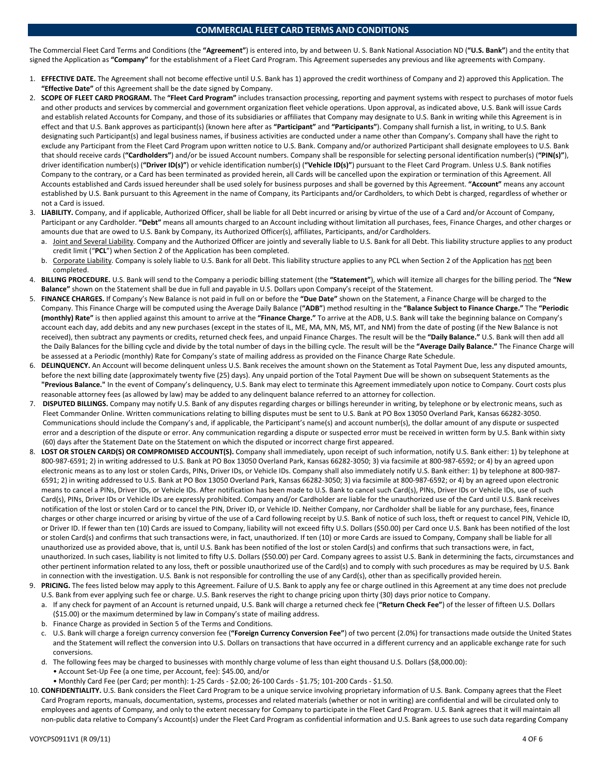## **COMMERCIAL FLEET CARD TERMS AND CONDITIONS**

The Commercial Fleet Card Terms and Conditions (the **"Agreement"**) is entered into, by and between U. S. Bank National Association ND (**"U.S. Bank"**) and the entity that signed the Application as **"Company"** for the establishment of a Fleet Card Program. This Agreement supersedes any previous and like agreements with Company.

- 1. **EFFECTIVE DATE.** The Agreement shall not become effective until U.S. Bank has 1) approved the credit worthiness of Company and 2) approved this Application. The **"Effective Date"** of this Agreement shall be the date signed by Company.
- 2. **SCOPE OF FLEET CARD PROGRAM.** The **"Fleet Card Program"** includes transaction processing, reporting and payment systems with respect to purchases of motor fuels and other products and services by commercial and government organization fleet vehicle operations. Upon approval, as indicated above, U.S. Bank will issue Cards and establish related Accounts for Company, and those of its subsidiaries or affiliates that Company may designate to U.S. Bank in writing while this Agreement is in effect and that U.S. Bank approves as participant(s) (known here after as **"Participant"** and **"Participants"**). Company shall furnish a list, in writing, to U.S. Bank designating such Participant(s) and legal business names, if business activities are conducted under a name other than Company's. Company shall have the right to exclude any Participant from the Fleet Card Program upon written notice to U.S. Bank. Company and/or authorized Participant shall designate employees to U.S. Bank that should receive cards (**"Cardholders"**) and/or be issued Account numbers. Company shall be responsible for selecting personal identification number(s) (**"PIN(s)"**), driver identification number(s) (**"Driver ID(s)"**) or vehicle identification number(s) (**"Vehicle ID(s)"**) pursuant to the Fleet Card Program. Unless U.S. Bank notifies Company to the contrary, or a Card has been terminated as provided herein, all Cards will be cancelled upon the expiration or termination of this Agreement. All Accounts established and Cards issued hereunder shall be used solely for business purposes and shall be governed by this Agreement. **"Account"** means any account established by U.S. Bank pursuant to this Agreement in the name of Company, its Participants and/or Cardholders, to which Debt is charged, regardless of whether or not a Card is issued.
- 3. **LIABILITY.** Company, and if applicable, Authorized Officer, shall be liable for all Debt incurred or arising by virtue of the use of a Card and/or Account of Company, Participant or any Cardholder. **"Debt"** means all amounts charged to an Account including without limitation all purchases, fees, Finance Charges, and other charges or amounts due that are owed to U.S. Bank by Company, its Authorized Officer(s), affiliates, Participants, and/or Cardholders.
	- a. Joint and Several Liability. Company and the Authorized Officer are jointly and severally liable to U.S. Bank for all Debt. This liability structure applies to any product credit limit ("**PCL**") when Section 2 of the Application has been completed.
	- b. Corporate Liability. Company is solely liable to U.S. Bank for all Debt. This liability structure applies to any PCL when Section 2 of the Application has not been completed.
- 4. **BILLING PROCEDURE.** U.S. Bank will send to the Company a periodic billing statement (the **"Statement"**), which will itemize all charges for the billing period. The **"New Balance"** shown on the Statement shall be due in full and payable in U.S. Dollars upon Company's receipt of the Statement.
- 5. **FINANCE CHARGES.** If Company's New Balance is not paid in full on or before the **"Due Date"** shown on the Statement, a Finance Charge will be charged to the Company. This Finance Charge will be computed using the Average Daily Balance (**"ADB"**) method resulting in the **"Balance Subject to Finance Charge."** The **"Periodic (monthly) Rate"** is then applied against this amount to arrive at the **"Finance Charge."** To arrive at the ADB, U.S. Bank will take the beginning balance on Company's account each day, add debits and any new purchases (except in the states of IL, ME, MA, MN, MS, MT, and NM) from the date of posting (if the New Balance is not received), then subtract any payments or credits, returned check fees, and unpaid Finance Charges. The result will be the **"Daily Balance."** U.S. Bank will then add all the Daily Balances for the billing cycle and divide by the total number of days in the billing cycle. The result will be the **"Average Daily Balance."** The Finance Charge will be assessed at a Periodic (monthly) Rate for Company's state of mailing address as provided on the Finance Charge Rate Schedule.
- 6. **DELINQUENCY.** An Account will become delinquent unless U.S. Bank receives the amount shown on the Statement as Total Payment Due, less any disputed amounts, before the next billing date (approximately twenty five (25) days). Any unpaid portion of the Total Payment Due will be shown on subsequent Statements as the **"Previous Balance."** In the event of Company's delinquency, U.S. Bank may elect to terminate this Agreement immediately upon notice to Company. Court costs plus reasonable attorney fees (as allowed by law) may be added to any delinquent balance referred to an attorney for collection.
- 7. **DISPUTED BILLINGS.** Company may notify U.S. Bank of any disputes regarding charges or billings hereunder in writing, by telephone or by electronic means, such as Fleet Commander Online. Written communications relating to billing disputes must be sent to U.S. Bank at PO Box 13050 Overland Park, Kansas 66282‐3050. Communications should include the Company's and, if applicable, the Participant's name(s) and account number(s), the dollar amount of any dispute or suspected error and a description of the dispute or error. Any communication regarding a dispute or suspected error must be received in written form by U.S. Bank within sixty (60) days after the Statement Date on the Statement on which the disputed or incorrect charge first appeared.
- 8. **LOST OR STOLEN CARD(S) OR COMPROMISED ACCOUNT(S).** Company shall immediately, upon receipt of such information, notify U.S. Bank either: 1) by telephone at 800‐987‐6591; 2) in writing addressed to U.S. Bank at PO Box 13050 Overland Park, Kansas 66282‐3050; 3) via facsimile at 800‐987‐6592; or 4) by an agreed upon electronic means as to any lost or stolen Cards, PINs, Driver IDs, or Vehicle IDs. Company shall also immediately notify U.S. Bank either: 1) by telephone at 800‐987‐ 6591; 2) in writing addressed to U.S. Bank at PO Box 13050 Overland Park, Kansas 66282‐3050; 3) via facsimile at 800‐987‐6592; or 4) by an agreed upon electronic means to cancel a PINs, Driver IDs, or Vehicle IDs. After notification has been made to U.S. Bank to cancel such Card(s), PINs, Driver IDs or Vehicle IDs, use of such Card(s), PINs, Driver IDs or Vehicle IDs are expressly prohibited. Company and/or Cardholder are liable for the unauthorized use of the Card until U.S. Bank receives notification of the lost or stolen Card or to cancel the PIN, Driver ID, or Vehicle ID. Neither Company, nor Cardholder shall be liable for any purchase, fees, finance charges or other charge incurred or arising by virtue of the use of a Card following receipt by U.S. Bank of notice of such loss, theft or request to cancel PIN, Vehicle ID, or Driver ID. If fewer than ten (10) Cards are issued to Company, liability will not exceed fifty U.S. Dollars (\$50.00) per Card once U.S. Bank has been notified of the lost or stolen Card(s) and confirms that such transactions were, in fact, unauthorized. If ten (10) or more Cards are issued to Company, Company shall be liable for all unauthorized use as provided above, that is, until U.S. Bank has been notified of the lost or stolen Card(s) and confirms that such transactions were, in fact, unauthorized. In such cases, liability is not limited to fifty U.S. Dollars (\$50.00) per Card. Company agrees to assist U.S. Bank in determining the facts, circumstances and other pertinent information related to any loss, theft or possible unauthorized use of the Card(s) and to comply with such procedures as may be required by U.S. Bank in connection with the investigation. U.S. Bank is not responsible for controlling the use of any Card(s), other than as specifically provided herein.
- 9. **PRICING.** The fees listed below may apply to this Agreement. Failure of U.S. Bank to apply any fee or charge outlined in this Agreement at any time does not preclude U.S. Bank from ever applying such fee or charge. U.S. Bank reserves the right to change pricing upon thirty (30) days prior notice to Company.
	- a. If any check for payment of an Account is returned unpaid, U.S. Bank will charge a returned check fee (**"Return Check Fee"**) of the lesser of fifteen U.S. Dollars (\$15.00) or the maximum determined by law in Company's state of mailing address.
	- b. Finance Charge as provided in Section 5 of the Terms and Conditions.
	- c. U.S. Bank will charge a foreign currency conversion fee (**"Foreign Currency Conversion Fee"**) of two percent (2.0%) for transactions made outside the United States and the Statement will reflect the conversion into U.S. Dollars on transactions that have occurred in a different currency and an applicable exchange rate for such conversions.
	- d. The following fees may be charged to businesses with monthly charge volume of less than eight thousand U.S. Dollars (\$8,000.00): • Account Set-Up Fee (a one time, per Account, fee): \$45.00, and/or
	- ï Monthly Card Fee (per Card; per month): 1‐25 Cards ‐ \$2.00; 26‐100 Cards ‐ \$1.75; 101‐200 Cards ‐ \$1.50.
- 10. **CONFIDENTIALITY.** U.S. Bank considers the Fleet Card Program to be a unique service involving proprietary information of U.S. Bank. Company agrees that the Fleet Card Program reports, manuals, documentation, systems, processes and related materials (whether or not in writing) are confidential and will be circulated only to employees and agents of Company, and only to the extent necessary for Company to participate in the Fleet Card Program. U.S. Bank agrees that it will maintain all non-public data relative to Company's Account(s) under the Fleet Card Program as confidential information and U.S. Bank agrees to use such data regarding Company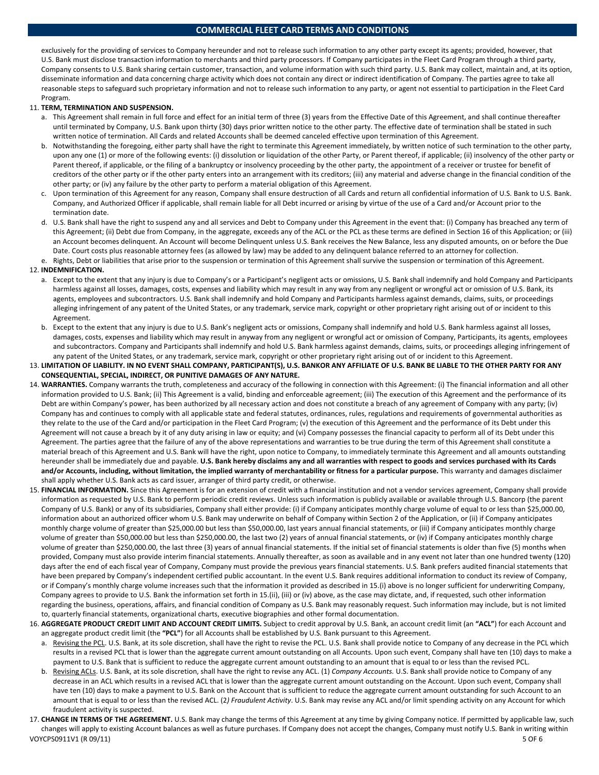## **COMMERCIAL FLEET CARD TERMS AND CONDITIONS**

exclusively for the providing of services to Company hereunder and not to release such information to any other party except its agents; provided, however, that U.S. Bank must disclose transaction information to merchants and third party processors. If Company participates in the Fleet Card Program through a third party, Company consents to U.S. Bank sharing certain customer, transaction, and volume information with such third party. U.S. Bank may collect, maintain and, at its option, disseminate information and data concerning charge activity which does not contain any direct or indirect identification of Company. The parties agree to take all reasonable steps to safeguard such proprietary information and not to release such information to any party, or agent not essential to participation in the Fleet Card Program.

#### 11. **TERM, TERMINATION AND SUSPENSION.**

- a. This Agreement shall remain in full force and effect for an initial term of three (3) years from the Effective Date of this Agreement, and shall continue thereafter until terminated by Company, U.S. Bank upon thirty (30) days prior written notice to the other party. The effective date of termination shall be stated in such written notice of termination. All Cards and related Accounts shall be deemed canceled effective upon termination of this Agreement.
- b. Notwithstanding the foregoing, either party shall have the right to terminate this Agreement immediately, by written notice of such termination to the other party, upon any one (1) or more of the following events: (i) dissolution or liquidation of the other Party, or Parent thereof, if applicable; (ii) insolvency of the other party or Parent thereof, if applicable, or the filing of a bankruptcy or insolvency proceeding by the other party, the appointment of a receiver or trustee for benefit of creditors of the other party or if the other party enters into an arrangement with its creditors; (iii) any material and adverse change in the financial condition of the other party; or (iv) any failure by the other party to perform a material obligation of this Agreement.
- c. Upon termination of this Agreement for any reason, Company shall ensure destruction of all Cards and return all confidential information of U.S. Bank to U.S. Bank. Company, and Authorized Officer if applicable, shall remain liable for all Debt incurred or arising by virtue of the use of a Card and/or Account prior to the termination date.
- d. U.S. Bank shall have the right to suspend any and all services and Debt to Company under this Agreement in the event that: (i) Company has breached any term of this Agreement; (ii) Debt due from Company, in the aggregate, exceeds any of the ACL or the PCL as these terms are defined in Section 16 of this Application; or (iii) an Account becomes delinquent. An Account will become Delinquent unless U.S. Bank receives the New Balance, less any disputed amounts, on or before the Due Date. Court costs plus reasonable attorney fees (as allowed by law) may be added to any delinquent balance referred to an attorney for collection. e. Rights, Debt or liabilities that arise prior to the suspension or termination of this Agreement shall survive the suspension or termination of this Agreement.

#### 12. **INDEMNIFICATION.**

- a. Except to the extent that any injury is due to Company's or a Participant's negligent acts or omissions, U.S. Bank shall indemnify and hold Company and Participants harmless against all losses, damages, costs, expenses and liability which may result in any way from any negligent or wrongful act or omission of U.S. Bank, its agents, employees and subcontractors. U.S. Bank shall indemnify and hold Company and Participants harmless against demands, claims, suits, or proceedings alleging infringement of any patent of the United States, or any trademark, service mark, copyright or other proprietary right arising out of or incident to this Agreement.
- b. Except to the extent that any injury is due to U.S. Bank's negligent acts or omissions, Company shall indemnify and hold U.S. Bank harmless against all losses, damages, costs, expenses and liability which may result in anyway from any negligent or wrongful act or omission of Company, Participants, its agents, employees and subcontractors. Company and Participants shall indemnify and hold U.S. Bank harmless against demands, claims, suits, or proceedings alleging infringement of any patent of the United States, or any trademark, service mark, copyright or other proprietary right arising out of or incident to this Agreement.
- 13. LIMITATION OF LIABILITY. IN NO EVENT SHALL COMPANY, PARTICIPANT(S), U.S. BANKOR ANY AFFILIATE OF U.S. BANK BE LIABLE TO THE OTHER PARTY FOR ANY **CONSEQUENTIAL, SPECIAL, INDIRECT, OR PUNITIVE DAMAGES OF ANY NATURE.**
- 14. **WARRANTIES.** Company warrants the truth, completeness and accuracy of the following in connection with this Agreement: (i) The financial information and all other information provided to U.S. Bank; (ii) This Agreement is a valid, binding and enforceable agreement; (iii) The execution of this Agreement and the performance of its Debt are within Company's power, has been authorized by all necessary action and does not constitute a breach of any agreement of Company with any party; (iv) Company has and continues to comply with all applicable state and federal statutes, ordinances, rules, regulations and requirements of governmental authorities as they relate to the use of the Card and/or participation in the Fleet Card Program; (v) the execution of this Agreement and the performance of its Debt under this Agreement will not cause a breach by it of any duty arising in law or equity; and (vi) Company possesses the financial capacity to perform all of its Debt under this Agreement. The parties agree that the failure of any of the above representations and warranties to be true during the term of this Agreement shall constitute a material breach of this Agreement and U.S. Bank will have the right, upon notice to Company, to immediately terminate this Agreement and all amounts outstanding hereunder shall be immediately due and payable. U.S. Bank hereby disclaims any and all warranties with respect to goods and services purchased with its Cards and/or Accounts, including, without limitation, the implied warranty of merchantability or fitness for a particular purpose. This warranty and damages disclaimer shall apply whether U.S. Bank acts as card issuer, arranger of third party credit, or otherwise.
- 15. **FINANCIAL INFORMATION.** Since this Agreement is for an extension of credit with a financial institution and not a vendor services agreement, Company shall provide information as requested by U.S. Bank to perform periodic credit reviews. Unless such information is publicly available or available through U.S. Bancorp (the parent Company of U.S. Bank) or any of its subsidiaries, Company shall either provide: (i) if Company anticipates monthly charge volume of equal to or less than \$25,000.00, information about an authorized officer whom U.S. Bank may underwrite on behalf of Company within Section 2 of the Application, or (ii) if Company anticipates monthly charge volume of greater than \$25,000.00 but less than \$50,000.00, last years annual financial statements, or (iii) if Company anticipates monthly charge volume of greater than \$50,000.00 but less than \$250,000.00, the last two (2) years of annual financial statements, or (iv) if Company anticipates monthly charge volume of greater than \$250,000.00, the last three (3) years of annual financial statements. If the initial set of financial statements is older than five (5) months when provided, Company must also provide interim financial statements. Annually thereafter, as soon as available and in any event not later than one hundred twenty (120) days after the end of each fiscal year of Company, Company must provide the previous years financial statements. U.S. Bank prefers audited financial statements that have been prepared by Company's independent certified public accountant. In the event U.S. Bank requires additional information to conduct its review of Company, or if Company's monthly charge volume increases such that the information it provided as described in 15.(i) above is no longer sufficient for underwriting Company, Company agrees to provide to U.S. Bank the information set forth in 15.(ii), (iii) or (iv) above, as the case may dictate, and, if requested, such other information regarding the business, operations, affairs, and financial condition of Company as U.S. Bank may reasonably request. Such information may include, but is not limited to, quarterly financial statements, organizational charts, executive biographies and other formal documentation.
- 16. **AGGREGATE PRODUCT CREDIT LIMIT AND ACCOUNT CREDIT LIMITS.** Subject to credit approval by U.S. Bank, an account credit limit (an **"ACL"**) for each Account and an aggregate product credit limit (the **"PCL"**) for all Accounts shall be established by U.S. Bank pursuant to this Agreement.
	- a. Revising the PCL. U.S. Bank, at its sole discretion, shall have the right to revise the PCL. U.S. Bank shall provide notice to Company of any decrease in the PCL which results in a revised PCL that is lower than the aggregate current amount outstanding on all Accounts. Upon such event, Company shall have ten (10) days to make a payment to U.S. Bank that is sufficient to reduce the aggregate current amount outstanding to an amount that is equal to or less than the revised PCL.
	- b. Revising ACLs. U.S. Bank, at its sole discretion, shall have the right to revise any ACL. (1) *Company Accounts.* U.S. Bank shall provide notice to Company of any decrease in an ACL which results in a revised ACL that is lower than the aggregate current amount outstanding on the Account. Upon such event, Company shall have ten (10) days to make a payment to U.S. Bank on the Account that is sufficient to reduce the aggregate current amount outstanding for such Account to an amount that is equal to or less than the revised ACL. (2*) Fraudulent Activity*. U.S. Bank may revise any ACL and/or limit spending activity on any Account for which fraudulent activity is suspected.
- VOYCPS0911V1 (R 09/11) 5 OF 6 17. **CHANGE IN TERMS OF THE AGREEMENT.** U.S. Bank may change the terms of this Agreement at any time by giving Company notice. If permitted by applicable law, such changes will apply to existing Account balances as well as future purchases. If Company does not accept the changes, Company must notify U.S. Bank in writing within